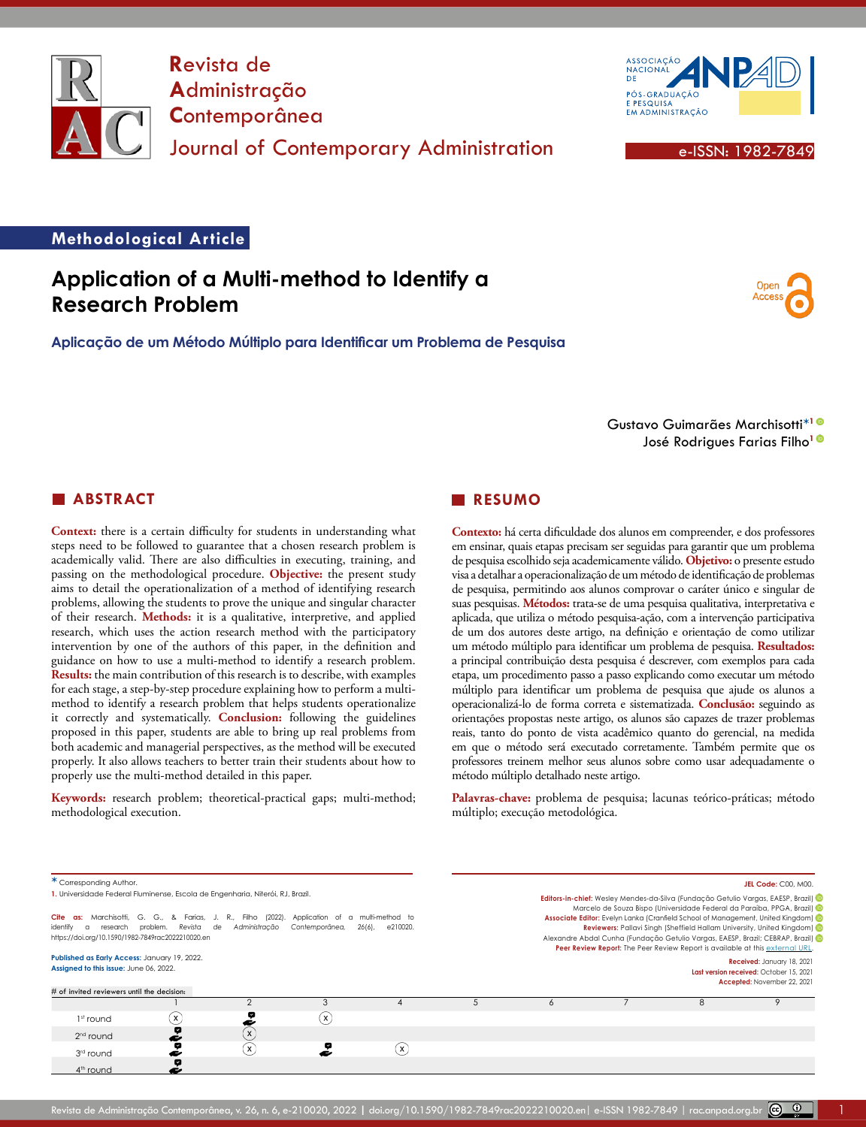



Open Access

#### **Methodological Article**

# **Application of a Multi-method to Identify a Research Problem**

**Aplicação de um Método Múltiplo para Identificar um Problema de Pesquisa**

Gustavo Guimarães Marchisotti**\*[1](https://orcid.org/0000-0002-7028-0015)** José Rodrigues Farias Filho**[1](https://orcid.org/0000-0003-1843-8695)**

### **ABSTRACT**

**Context:** there is a certain difficulty for students in understanding what steps need to be followed to guarantee that a chosen research problem is academically valid. There are also difficulties in executing, training, and passing on the methodological procedure. **Objective:** the present study aims to detail the operationalization of a method of identifying research problems, allowing the students to prove the unique and singular character of their research. **Methods:** it is a qualitative, interpretive, and applied research, which uses the action research method with the participatory intervention by one of the authors of this paper, in the definition and guidance on how to use a multi-method to identify a research problem. **Results:** the main contribution of this research is to describe, with examples for each stage, a step-by-step procedure explaining how to perform a multimethod to identify a research problem that helps students operationalize it correctly and systematically. **Conclusion:** following the guidelines proposed in this paper, students are able to bring up real problems from both academic and managerial perspectives, as the method will be executed properly. It also allows teachers to better train their students about how to properly use the multi-method detailed in this paper.

**Keywords:** research problem; theoretical-practical gaps; multi-method; methodological execution.

### **RESUMO**

**Contexto:** há certa dificuldade dos alunos em compreender, e dos professores em ensinar, quais etapas precisam ser seguidas para garantir que um problema de pesquisa escolhido seja academicamente válido. **Objetivo:** o presente estudo visa a detalhar a operacionalização de um método de identificação de problemas de pesquisa, permitindo aos alunos comprovar o caráter único e singular de suas pesquisas. **Métodos:** trata-se de uma pesquisa qualitativa, interpretativa e aplicada, que utiliza o método pesquisa-ação, com a intervenção participativa de um dos autores deste artigo, na definição e orientação de como utilizar um método múltiplo para identificar um problema de pesquisa. **Resultados:**  a principal contribuição desta pesquisa é descrever, com exemplos para cada etapa, um procedimento passo a passo explicando como executar um método múltiplo para identificar um problema de pesquisa que ajude os alunos a operacionalizá-lo de forma correta e sistematizada. **Conclusão:** seguindo as orientações propostas neste artigo, os alunos são capazes de trazer problemas reais, tanto do ponto de vista acadêmico quanto do gerencial, na medida em que o método será executado corretamente. Também permite que os professores treinem melhor seus alunos sobre como usar adequadamente o método múltiplo detalhado neste artigo.

**Palavras-chave:** problema de pesquisa; lacunas teórico-práticas; método múltiplo; execução metodológica.

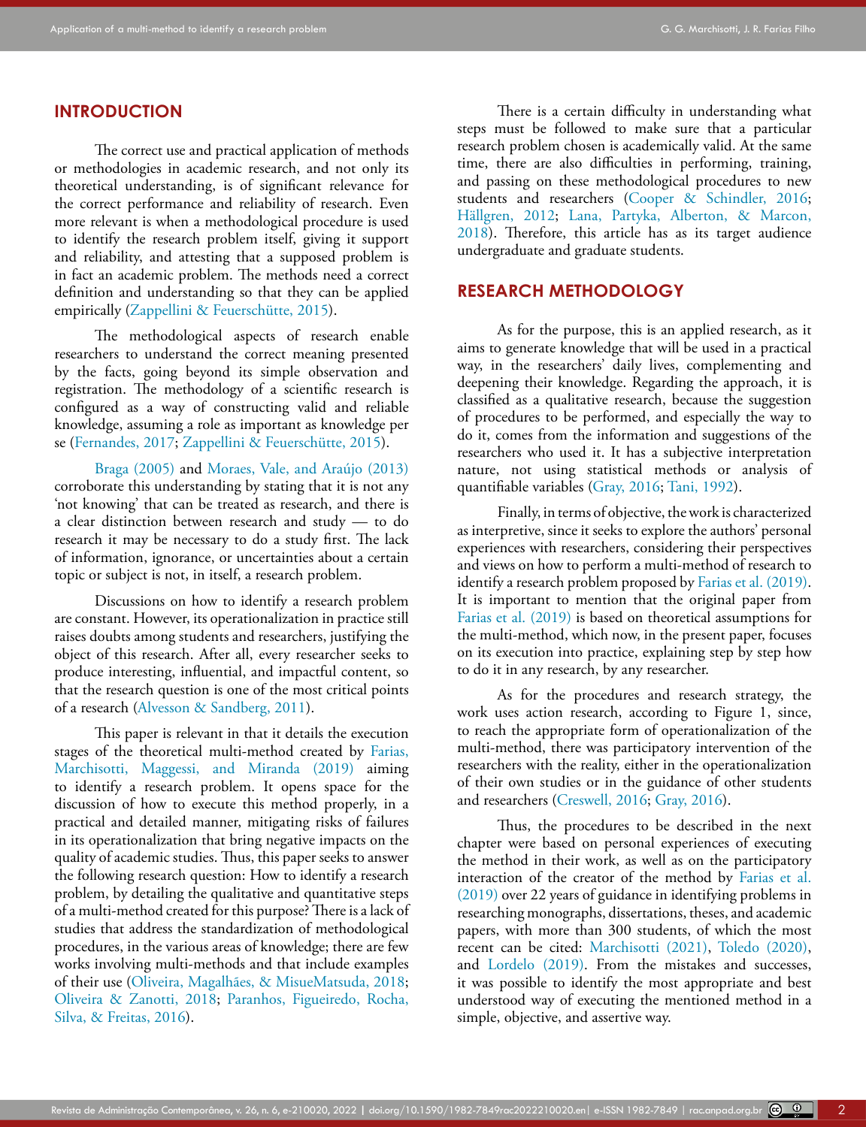### **INTRODUCTION**

The correct use and practical application of methods or methodologies in academic research, and not only its theoretical understanding, is of significant relevance for the correct performance and reliability of research. Even more relevant is when a methodological procedure is used to identify the research problem itself, giving it support and reliability, and attesting that a supposed problem is in fact an academic problem. The methods need a correct definition and understanding so that they can be applied empirically ([Zappellini & Feuerschütte, 2015](#page-15-0)).

The methodological aspects of research enable researchers to understand the correct meaning presented by the facts, going beyond its simple observation and registration. The methodology of a scientific research is configured as a way of constructing valid and reliable knowledge, assuming a role as important as knowledge per se [\(Fernandes, 2017;](#page-14-0) [Zappellini & Feuerschütte, 2015](#page-15-0)).

[Braga \(2005\)](#page-14-1) and Moraes, Vale, and Araújo (2013) corroborate this understanding by stating that it is not any 'not knowing' that can be treated as research, and there is a clear distinction between research and study — to do research it may be necessary to do a study first. The lack of information, ignorance, or uncertainties about a certain topic or subject is not, in itself, a research problem.

Discussions on how to identify a research problem are constant. However, its operationalization in practice still raises doubts among students and researchers, justifying the object of this research. After all, every researcher seeks to produce interesting, influential, and impactful content, so that the research question is one of the most critical points of a research ([Alvesson & Sandberg, 2011](#page-13-0)).

This paper is relevant in that it details the execution stages of the theoretical multi-method created by [Farias,](#page-14-2)  [Marchisotti, Maggessi, and Miranda \(2019\)](#page-14-2) aiming to identify a research problem. It opens space for the discussion of how to execute this method properly, in a practical and detailed manner, mitigating risks of failures in its operationalization that bring negative impacts on the quality of academic studies. Thus, this paper seeks to answer the following research question: How to identify a research problem, by detailing the qualitative and quantitative steps of a multi-method created for this purpose? There is a lack of studies that address the standardization of methodological procedures, in the various areas of knowledge; there are few works involving multi-methods and that include examples of their use (Oliveira, Magalhães, & MisueMatsuda, 2018; [Oliveira & Zanotti, 2018](#page-14-3); [Paranhos, Figueiredo, Rocha,](#page-14-4)  [Silva, & Freitas, 2016\)](#page-14-4).

There is a certain difficulty in understanding what steps must be followed to make sure that a particular research problem chosen is academically valid. At the same time, there are also difficulties in performing, training, and passing on these methodological procedures to new students and researchers [\(Cooper & Schindler, 2016](#page-14-5); Hällgren, 2012; [Lana, Partyka, Alberton, & Marcon,](#page-14-6) [2018\)](#page-14-6). Therefore, this article has as its target audience undergraduate and graduate students.

### **RESEARCH METHODOLOGY**

As for the purpose, this is an applied research, as it aims to generate knowledge that will be used in a practical way, in the researchers' daily lives, complementing and deepening their knowledge. Regarding the approach, it is classified as a qualitative research, because the suggestion of procedures to be performed, and especially the way to do it, comes from the information and suggestions of the researchers who used it. It has a subjective interpretation nature, not using statistical methods or analysis of quantifiable variables [\(Gray, 2016;](#page-14-7) [Tani, 1992](#page-15-1)).

Finally, in terms of objective, the work is characterized as interpretive, since it seeks to explore the authors' personal experiences with researchers, considering their perspectives and views on how to perform a multi-method of research to identify a research problem proposed by [Farias et al. \(2019\)](#page-14-2). It is important to mention that the original paper from [Farias et al. \(2019\)](#page-14-2) is based on theoretical assumptions for the multi-method, which now, in the present paper, focuses on its execution into practice, explaining step by step how to do it in any research, by any researcher.

As for the procedures and research strategy, the work uses action research, according to Figure 1, since, to reach the appropriate form of operationalization of the multi-method, there was participatory intervention of the researchers with the reality, either in the operationalization of their own studies or in the guidance of other students and researchers [\(Creswell, 2016;](#page-14-8) [Gray, 2016](#page-14-7)).

Thus, the procedures to be described in the next chapter were based on personal experiences of executing the method in their work, as well as on the participatory interaction of the creator of the method by [Farias et al.](#page-14-2) [\(2019\)](#page-14-2) over 22 years of guidance in identifying problems in researching monographs, dissertations, theses, and academic papers, with more than 300 students, of which the most recent can be cited: [Marchisotti \(2021\)](#page-14-9), [Toledo \(2020\)](#page-15-2), and [Lordelo \(2019\)](#page-14-10). From the mistakes and successes, it was possible to identify the most appropriate and best understood way of executing the mentioned method in a simple, objective, and assertive way.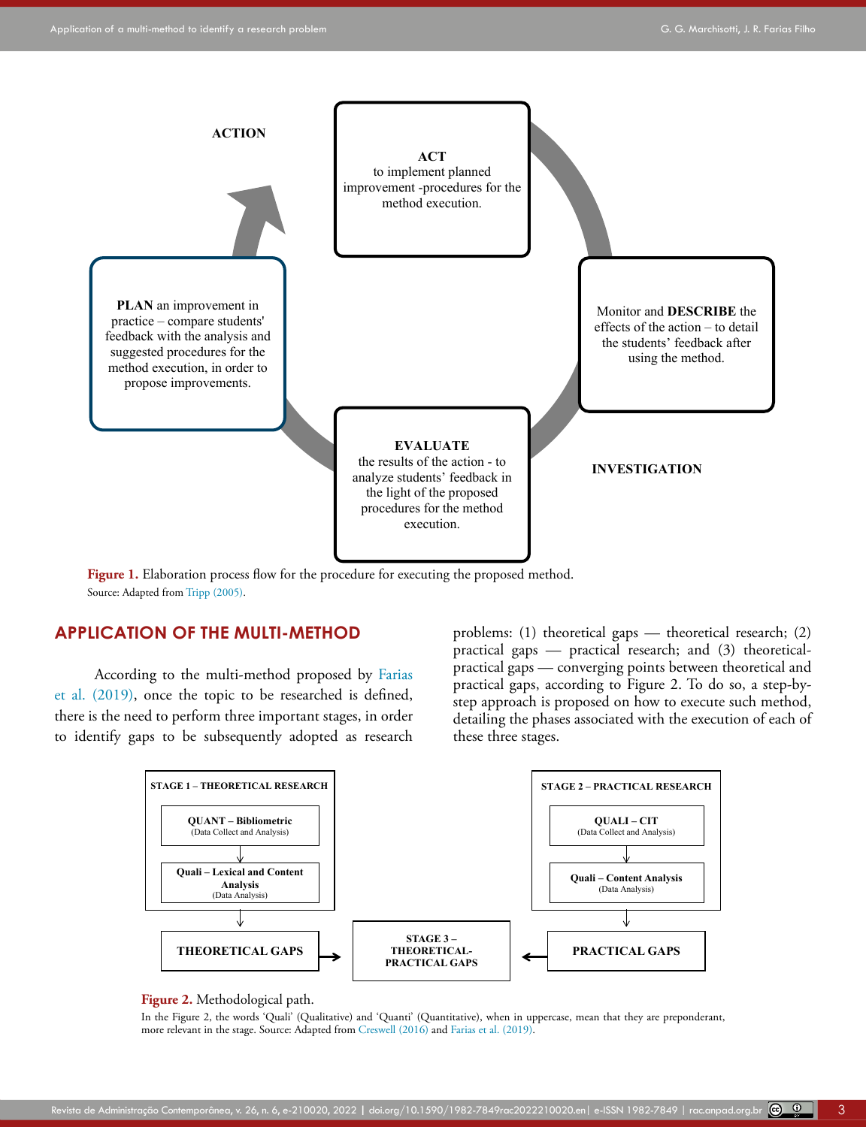

Figure 1. Elaboration process flow for the procedure for executing the proposed method. Source: Adapted from [Tripp \(2005\)](#page-15-3).

### **APPLICATION OF THE MULTI-METHOD**

According to the multi-method proposed by [Farias](#page-14-2)  [et al. \(2019\),](#page-14-2) once the topic to be researched is defined, there is the need to perform three important stages, in order to identify gaps to be subsequently adopted as research problems: (1) theoretical gaps — theoretical research; (2) practical gaps — practical research; and (3) theoreticalpractical gaps — converging points between theoretical and practical gaps, according to Figure 2. To do so, a step-bystep approach is proposed on how to execute such method, detailing the phases associated with the execution of each of these three stages.



### **Figure 2.** Methodological path.

In the Figure 2, the words 'Quali' (Qualitative) and 'Quanti' (Quantitative), when in uppercase, mean that they are preponderant, more relevant in the stage. Source: Adapted from [Creswell \(2016\)](#page-14-8) and [Farias et al. \(2019\).](#page-14-2)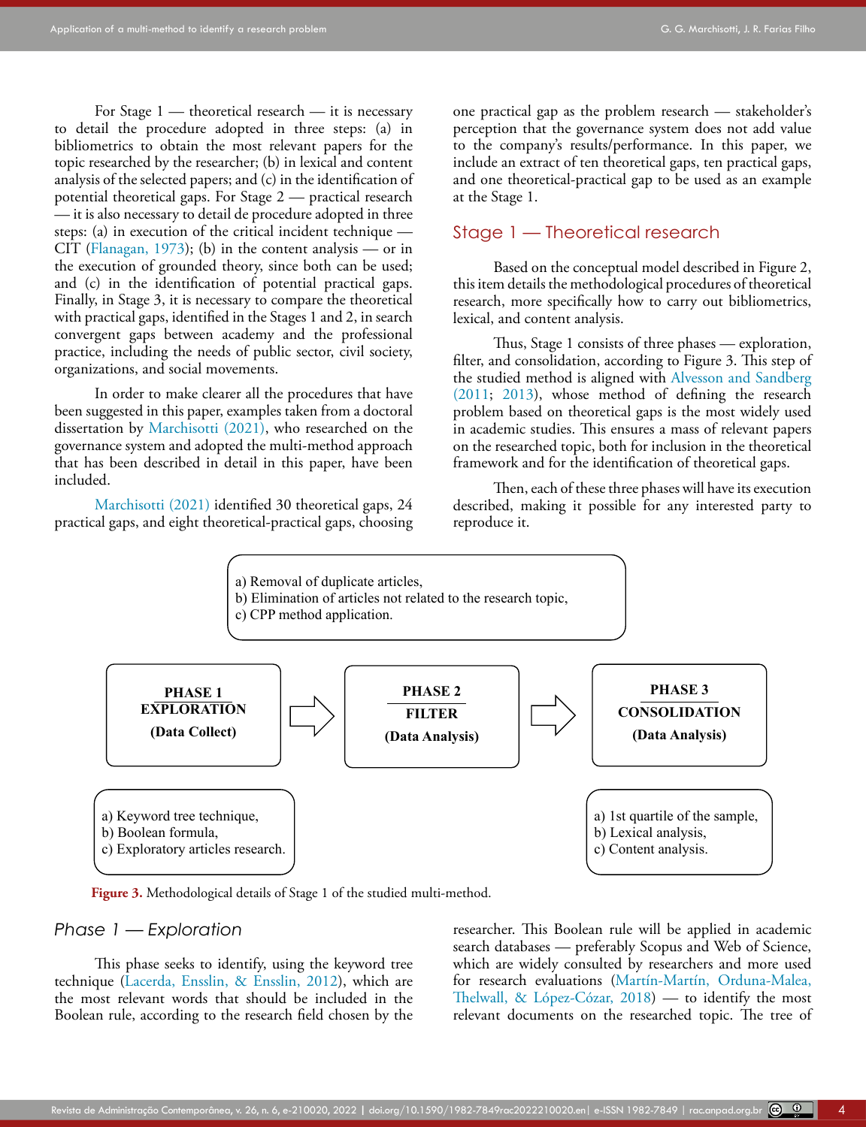For Stage 1 — theoretical research — it is necessary to detail the procedure adopted in three steps: (a) in bibliometrics to obtain the most relevant papers for the topic researched by the researcher; (b) in lexical and content analysis of the selected papers; and (c) in the identification of potential theoretical gaps. For Stage 2 — practical research — it is also necessary to detail de procedure adopted in three steps: (a) in execution of the critical incident technique — CIT ([Flanagan, 1973](#page-14-11)); (b) in the content analysis — or in the execution of grounded theory, since both can be used; and (c) in the identification of potential practical gaps. Finally, in Stage 3, it is necessary to compare the theoretical with practical gaps, identified in the Stages 1 and 2, in search convergent gaps between academy and the professional practice, including the needs of public sector, civil society, organizations, and social movements.

In order to make clearer all the procedures that have been suggested in this paper, examples taken from a doctoral dissertation by [Marchisotti \(2021\),](#page-14-9) who researched on the governance system and adopted the multi-method approach that has been described in detail in this paper, have been included.

[Marchisotti \(2021\)](#page-14-9) identified 30 theoretical gaps, 24 practical gaps, and eight theoretical-practical gaps, choosing one practical gap as the problem research — stakeholder's perception that the governance system does not add value to the company's results/performance. In this paper, we include an extract of ten theoretical gaps, ten practical gaps, and one theoretical-practical gap to be used as an example at the Stage 1.

### Stage 1 — Theoretical research

Based on the conceptual model described in Figure 2, this item details the methodological procedures of theoretical research, more specifically how to carry out bibliometrics, lexical, and content analysis.

Thus, Stage 1 consists of three phases — exploration, filter, and consolidation, according to Figure 3. This step of the studied method is aligned with [Alvesson and Sandberg](#page-13-1) [\(2011](#page-13-1); [2013\)](#page-13-2), whose method of defining the research problem based on theoretical gaps is the most widely used in academic studies. This ensures a mass of relevant papers on the researched topic, both for inclusion in the theoretical framework and for the identification of theoretical gaps.

Then, each of these three phases will have its execution described, making it possible for any interested party to reproduce it.



Figure 3. Methodological details of Stage 1 of the studied multi-method.

#### *Phase 1 — Exploration*

This phase seeks to identify, using the keyword tree technique ([Lacerda, Ensslin, & Ensslin, 2012\)](#page-14-12), which are the most relevant words that should be included in the Boolean rule, according to the research field chosen by the researcher. This Boolean rule will be applied in academic search databases — preferably Scopus and Web of Science, which are widely consulted by researchers and more used for research evaluations (Martín-Martín, Orduna-Malea, Thelwall, & López-Cózar, 2018) — to identify the most relevant documents on the researched topic. The tree of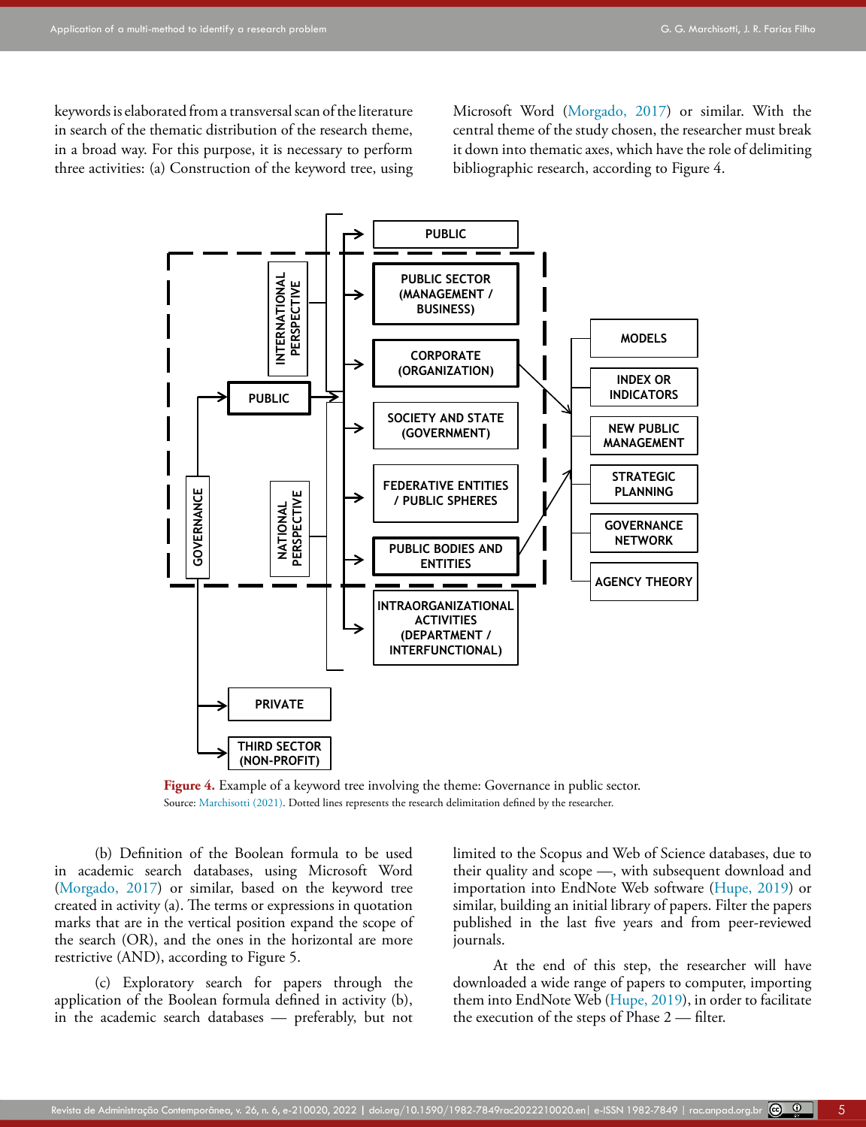keywords is elaborated from a transversal scan of the literature in search of the thematic distribution of the research theme, in a broad way. For this purpose, it is necessary to perform three activities: (a) Construction of the keyword tree, using Microsoft Word ([Morgado, 2017](#page-14-13)) or similar. With the central theme of the study chosen, the researcher must break it down into thematic axes, which have the role of delimiting bibliographic research, according to Figure 4.



Figure 4. Example of a keyword tree involving the theme: Governance in public sector. Source: [Marchisotti \(2021\)](#page-14-9). Dotted lines represents the research delimitation defined by the researcher.

(b) Definition of the Boolean formula to be used in academic search databases, using Microsoft Word ([Morgado, 2017\)](#page-14-13) or similar, based on the keyword tree created in activity (a). The terms or expressions in quotation marks that are in the vertical position expand the scope of the search (OR), and the ones in the horizontal are more restrictive (AND), according to Figure 5.

(c) Exploratory search for papers through the application of the Boolean formula defined in activity (b), in the academic search databases — preferably, but not limited to the Scopus and Web of Science databases, due to their quality and scope —, with subsequent download and importation into EndNote Web software ([Hupe, 2019](#page-14-14)) or similar, building an initial library of papers. Filter the papers published in the last five years and from peer-reviewed journals.

At the end of this step, the researcher will have downloaded a wide range of papers to computer, importing them into EndNote Web [\(Hupe, 2019](#page-14-14)), in order to facilitate the execution of the steps of Phase 2 — filter.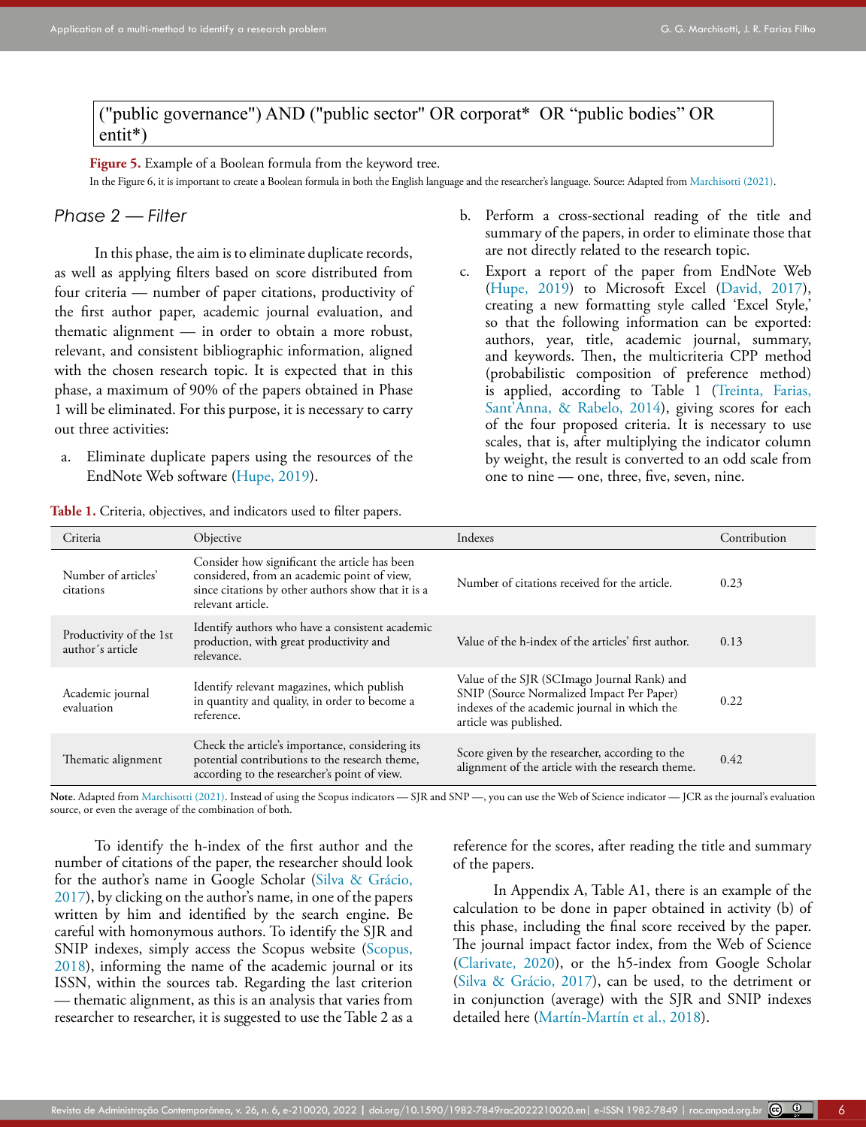("public governance") AND ("public sector" OR corporat\* OR "public bodies" OR entit\*)

**Figure 5.** Example of a Boolean formula from the keyword tree.

In the Figure 6, it is important to create a Boolean formula in both the English language and the researcher's language. Source: Adapted from [Marchisotti \(2021\)](#page-14-9).

### *Phase 2 — Filter*

In this phase, the aim is to eliminate duplicate records, as well as applying filters based on score distributed from four criteria — number of paper citations, productivity of the first author paper, academic journal evaluation, and thematic alignment — in order to obtain a more robust, relevant, and consistent bibliographic information, aligned with the chosen research topic. It is expected that in this phase, a maximum of 90% of the papers obtained in Phase 1 will be eliminated. For this purpose, it is necessary to carry out three activities:

a. Eliminate duplicate papers using the resources of the EndNote Web software [\(Hupe, 2019\)](#page-14-14).

| <b>ROK 1.</b> OHIGHA, ODJUCHYCS, and mundators docu to mich papers. |                                                                                                                                                                         |                                                                                                                                                                    |              |  |  |  |  |
|---------------------------------------------------------------------|-------------------------------------------------------------------------------------------------------------------------------------------------------------------------|--------------------------------------------------------------------------------------------------------------------------------------------------------------------|--------------|--|--|--|--|
| Criteria<br>Objective                                               |                                                                                                                                                                         | Indexes                                                                                                                                                            | Contribution |  |  |  |  |
| Number of articles'<br>citations                                    | Consider how significant the article has been<br>considered, from an academic point of view,<br>since citations by other authors show that it is a<br>relevant article. | Number of citations received for the article.                                                                                                                      | 0.23         |  |  |  |  |
| Productivity of the 1st<br>author's article                         | Identify authors who have a consistent academic<br>production, with great productivity and<br>relevance.                                                                | Value of the h-index of the articles' first author.                                                                                                                | 0.13         |  |  |  |  |
| Academic journal<br>evaluation                                      | Identify relevant magazines, which publish<br>in quantity and quality, in order to become a<br>reference.                                                               | Value of the SJR (SCImago Journal Rank) and<br>SNIP (Source Normalized Impact Per Paper)<br>indexes of the academic journal in which the<br>article was published. | 0.22         |  |  |  |  |
| Thematic alignment                                                  | Check the article's importance, considering its<br>potential contributions to the research theme,<br>according to the researcher's point of view.                       | Score given by the researcher, according to the<br>alignment of the article with the research theme.                                                               | 0.42         |  |  |  |  |

**Table 1.** Criteria, objectives, and indicators used to filter papers.

Note. Adapted from [Marchisotti \(2021\)](#page-14-9). Instead of using the Scopus indicators — SJR and SNP —, you can use the Web of Science indicator — JCR as the journal's evaluation source, or even the average of the combination of both.

To identify the h-index of the first author and the number of citations of the paper, the researcher should look for the author's name in Google Scholar (Silva & Grácio, 2017), by clicking on the author's name, in one of the papers written by him and identified by the search engine. Be careful with homonymous authors. To identify the SJR and SNIP indexes, simply access the Scopus website ([Scopus,](#page-15-4)  [2018](#page-15-4)), informing the name of the academic journal or its ISSN, within the sources tab. Regarding the last criterion — thematic alignment, as this is an analysis that varies from researcher to researcher, it is suggested to use the Table 2 as a

reference for the scores, after reading the title and summary of the papers.

b. Perform a cross-sectional reading of the title and summary of the papers, in order to eliminate those that

c. Export a report of the paper from EndNote Web [\(Hupe, 2019\)](#page-14-14) to Microsoft Excel [\(David, 2017\)](#page-14-15), creating a new formatting style called 'Excel Style,' so that the following information can be exported: authors, year, title, academic journal, summary, and keywords. Then, the multicriteria CPP method (probabilistic composition of preference method) is applied, according to Table 1 (Treinta, Farias, Sant'Anna, & Rabelo, 2014), giving scores for each of the four proposed criteria. It is necessary to use scales, that is, after multiplying the indicator column by weight, the result is converted to an odd scale from

are not directly related to the research topic.

one to nine — one, three, five, seven, nine.

In Appendix A, Table A1, there is an example of the calculation to be done in paper obtained in activity (b) of this phase, including the final score received by the paper. The journal impact factor index, from the Web of Science [\(Clarivate, 2020](#page-14-16)), or the h5-index from Google Scholar (Silva & Grácio, 2017), can be used, to the detriment or in conjunction (average) with the SJR and SNIP indexes detailed here (Martín-Martín et al., 2018).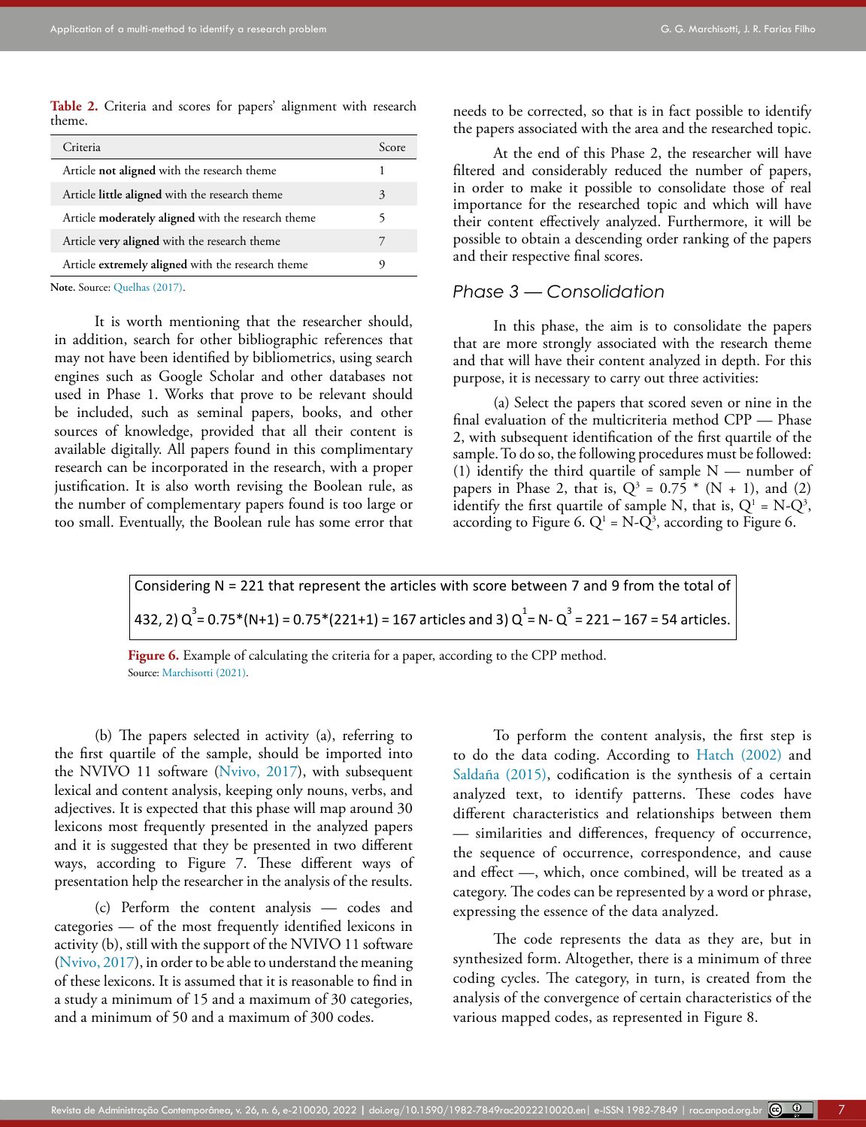**Table 2.** Criteria and scores for papers' alignment with research theme.

| Criteria                                           | Score |
|----------------------------------------------------|-------|
| Article not aligned with the research theme        |       |
| Article little aligned with the research theme     | 3     |
| Article moderately aligned with the research theme | 5     |
| Article very aligned with the research theme       |       |
| Article extremely aligned with the research theme  | 9     |
|                                                    |       |

Note. Source: [Quelhas \(2017\).](#page-14-17)

It is worth mentioning that the researcher should, in addition, search for other bibliographic references that may not have been identified by bibliometrics, using search engines such as Google Scholar and other databases not used in Phase 1. Works that prove to be relevant should be included, such as seminal papers, books, and other sources of knowledge, provided that all their content is available digitally. All papers found in this complimentary research can be incorporated in the research, with a proper justification. It is also worth revising the Boolean rule, as the number of complementary papers found is too large or too small. Eventually, the Boolean rule has some error that needs to be corrected, so that is in fact possible to identify the papers associated with the area and the researched topic.

At the end of this Phase 2, the researcher will have filtered and considerably reduced the number of papers, in order to make it possible to consolidate those of real importance for the researched topic and which will have their content effectively analyzed. Furthermore, it will be possible to obtain a descending order ranking of the papers and their respective final scores.

### *Phase 3 — Consolidation*

In this phase, the aim is to consolidate the papers that are more strongly associated with the research theme and that will have their content analyzed in depth. For this purpose, it is necessary to carry out three activities:

(a) Select the papers that scored seven or nine in the final evaluation of the multicriteria method CPP — Phase 2, with subsequent identification of the first quartile of the sample. To do so, the following procedures must be followed: (1) identify the third quartile of sample  $N$  — number of papers in Phase 2, that is,  $Q^3 = 0.75 * (N + 1)$ , and (2) identify the first quartile of sample N, that is,  $Q^1 = N-Q^3$ , according to Figure 6.  $Q^1$  = N- $Q^3$ , according to Figure 6.

Considering N = 221 that represent the articles with score between 7 and 9 from the total of  
432, 2) 
$$
Q^3 = 0.75*(N+1) = 0.75*(221+1) = 167
$$
 articles and 3)  $Q^1 = N - Q^3 = 221 - 167 = 54$  articles.

(b) The papers selected in activity (a), referring to the first quartile of the sample, should be imported into the NVIVO 11 software [\(Nvivo, 2017](#page-14-18)), with subsequent lexical and content analysis, keeping only nouns, verbs, and adjectives. It is expected that this phase will map around 30 lexicons most frequently presented in the analyzed papers and it is suggested that they be presented in two different ways, according to Figure 7. These different ways of presentation help the researcher in the analysis of the results.

(c) Perform the content analysis — codes and categories — of the most frequently identified lexicons in activity (b), still with the support of the NVIVO 11 software ([Nvivo, 2017\)](#page-14-18), in order to be able to understand the meaning of these lexicons. It is assumed that it is reasonable to find in a study a minimum of 15 and a maximum of 30 categories, and a minimum of 50 and a maximum of 300 codes.

To perform the content analysis, the first step is to do the data coding. According to [Hatch \(2002\)](#page-14-19) and Saldaña (2015), codification is the synthesis of a certain analyzed text, to identify patterns. These codes have different characteristics and relationships between them — similarities and differences, frequency of occurrence, the sequence of occurrence, correspondence, and cause and effect —, which, once combined, will be treated as a category. The codes can be represented by a word or phrase, expressing the essence of the data analyzed.

The code represents the data as they are, but in synthesized form. Altogether, there is a minimum of three coding cycles. The category, in turn, is created from the analysis of the convergence of certain characteristics of the various mapped codes, as represented in Figure 8.

**Figure 6.** Example of calculating the criteria for a paper, according to the CPP method. Source: [Marchisotti \(2021\)](#page-14-9).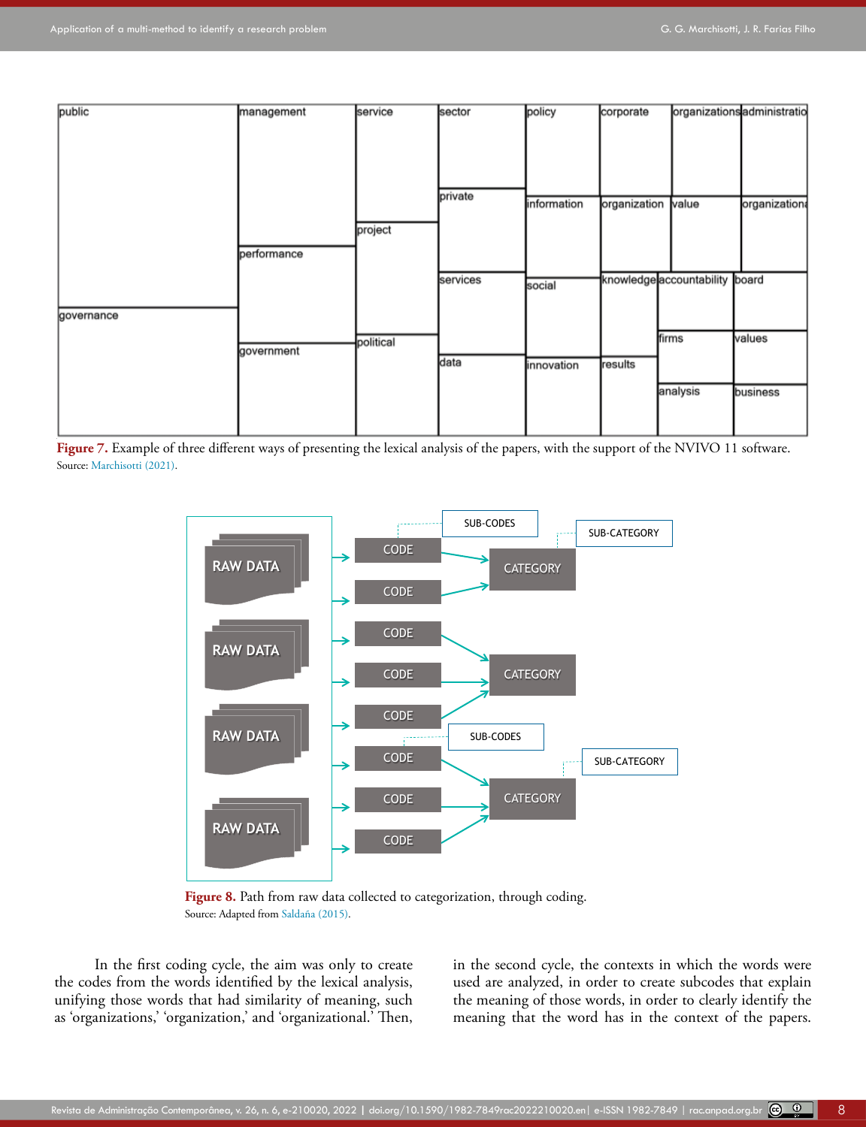

Figure 7. Example of three different ways of presenting the lexical analysis of the papers, with the support of the NVIVO 11 software. Source: [Marchisotti \(2021\)](#page-14-9).



Figure 8. Path from raw data collected to categorization, through coding. Source: Adapted from Saldaña (2015).

In the first coding cycle, the aim was only to create the codes from the words identified by the lexical analysis, unifying those words that had similarity of meaning, such as 'organizations,' 'organization,' and 'organizational.' Then,

in the second cycle, the contexts in which the words were used are analyzed, in order to create subcodes that explain the meaning of those words, in order to clearly identify the meaning that the word has in the context of the papers.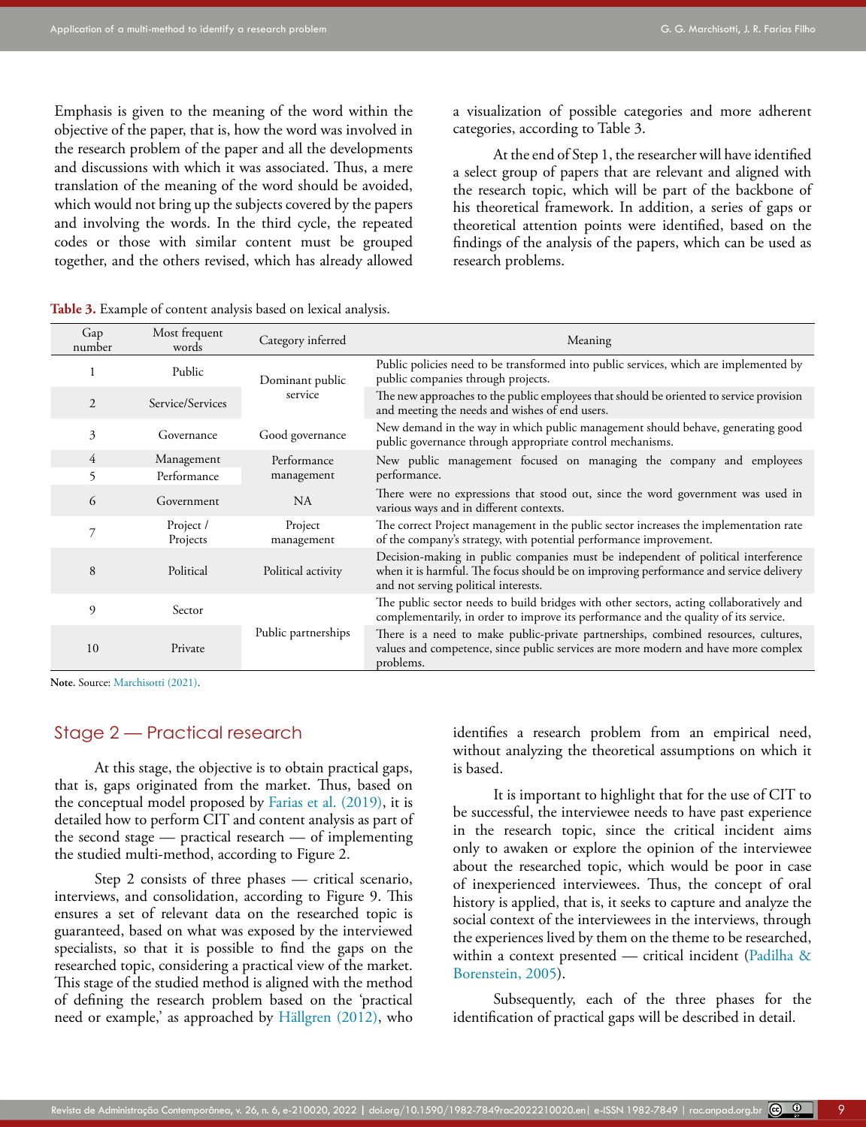Emphasis is given to the meaning of the word within the objective of the paper, that is, how the word was involved in the research problem of the paper and all the developments and discussions with which it was associated. Thus, a mere translation of the meaning of the word should be avoided, which would not bring up the subjects covered by the papers and involving the words. In the third cycle, the repeated codes or those with similar content must be grouped together, and the others revised, which has already allowed a visualization of possible categories and more adherent categories, according to Table 3.

At the end of Step 1, the researcher will have identified a select group of papers that are relevant and aligned with the research topic, which will be part of the backbone of his theoretical framework. In addition, a series of gaps or theoretical attention points were identified, based on the findings of the analysis of the papers, which can be used as research problems.

| Gap<br>number  | Most frequent<br>words | Category inferred     | Meaning                                                                                                                                                                                                            |  |  |  |  |  |  |
|----------------|------------------------|-----------------------|--------------------------------------------------------------------------------------------------------------------------------------------------------------------------------------------------------------------|--|--|--|--|--|--|
|                | Public                 | Dominant public       | Public policies need to be transformed into public services, which are implemented by<br>public companies through projects.                                                                                        |  |  |  |  |  |  |
| $\overline{c}$ | Service/Services       | service               | The new approaches to the public employees that should be oriented to service provision<br>and meeting the needs and wishes of end users.                                                                          |  |  |  |  |  |  |
| 3              | Governance             | Good governance       | New demand in the way in which public management should behave, generating good<br>public governance through appropriate control mechanisms.                                                                       |  |  |  |  |  |  |
| 4              | Management             | Performance           | New public management focused on managing the company and employees                                                                                                                                                |  |  |  |  |  |  |
| 5              | Performance            | management            | performance.                                                                                                                                                                                                       |  |  |  |  |  |  |
| 6              | Government             | <b>NA</b>             | There were no expressions that stood out, since the word government was used in<br>various ways and in different contexts.                                                                                         |  |  |  |  |  |  |
|                | Project /<br>Projects  | Project<br>management | The correct Project management in the public sector increases the implementation rate<br>of the company's strategy, with potential performance improvement.                                                        |  |  |  |  |  |  |
| 8              | Political              | Political activity    | Decision-making in public companies must be independent of political interference<br>when it is harmful. The focus should be on improving performance and service delivery<br>and not serving political interests. |  |  |  |  |  |  |
| 9              | Sector                 |                       | The public sector needs to build bridges with other sectors, acting collaboratively and<br>complementarily, in order to improve its performance and the quality of its service.                                    |  |  |  |  |  |  |
| 10             | Private                | Public partnerships   | There is a need to make public-private partnerships, combined resources, cultures,<br>values and competence, since public services are more modern and have more complex<br>problems.                              |  |  |  |  |  |  |

**Table 3.** Example of content analysis based on lexical analysis.

Note. Source: [Marchisotti \(2021\).](#page-14-9)

### Stage 2 — Practical research

At this stage, the objective is to obtain practical gaps, that is, gaps originated from the market. Thus, based on the conceptual model proposed by [Farias et al. \(2019\)](#page-14-2), it is detailed how to perform CIT and content analysis as part of the second stage — practical research — of implementing the studied multi-method, according to Figure 2.

Step 2 consists of three phases — critical scenario, interviews, and consolidation, according to Figure 9. This ensures a set of relevant data on the researched topic is guaranteed, based on what was exposed by the interviewed specialists, so that it is possible to find the gaps on the researched topic, considering a practical view of the market. This stage of the studied method is aligned with the method of defining the research problem based on the 'practical need or example,' as approached by Hällgren (2012), who

identifies a research problem from an empirical need, without analyzing the theoretical assumptions on which it is based.

It is important to highlight that for the use of CIT to be successful, the interviewee needs to have past experience in the research topic, since the critical incident aims only to awaken or explore the opinion of the interviewee about the researched topic, which would be poor in case of inexperienced interviewees. Thus, the concept of oral history is applied, that is, it seeks to capture and analyze the social context of the interviewees in the interviews, through the experiences lived by them on the theme to be researched, within a context presented — critical incident [\(Padilha &](#page-14-20) [Borenstein, 2005\)](#page-14-20).

Subsequently, each of the three phases for the identification of practical gaps will be described in detail.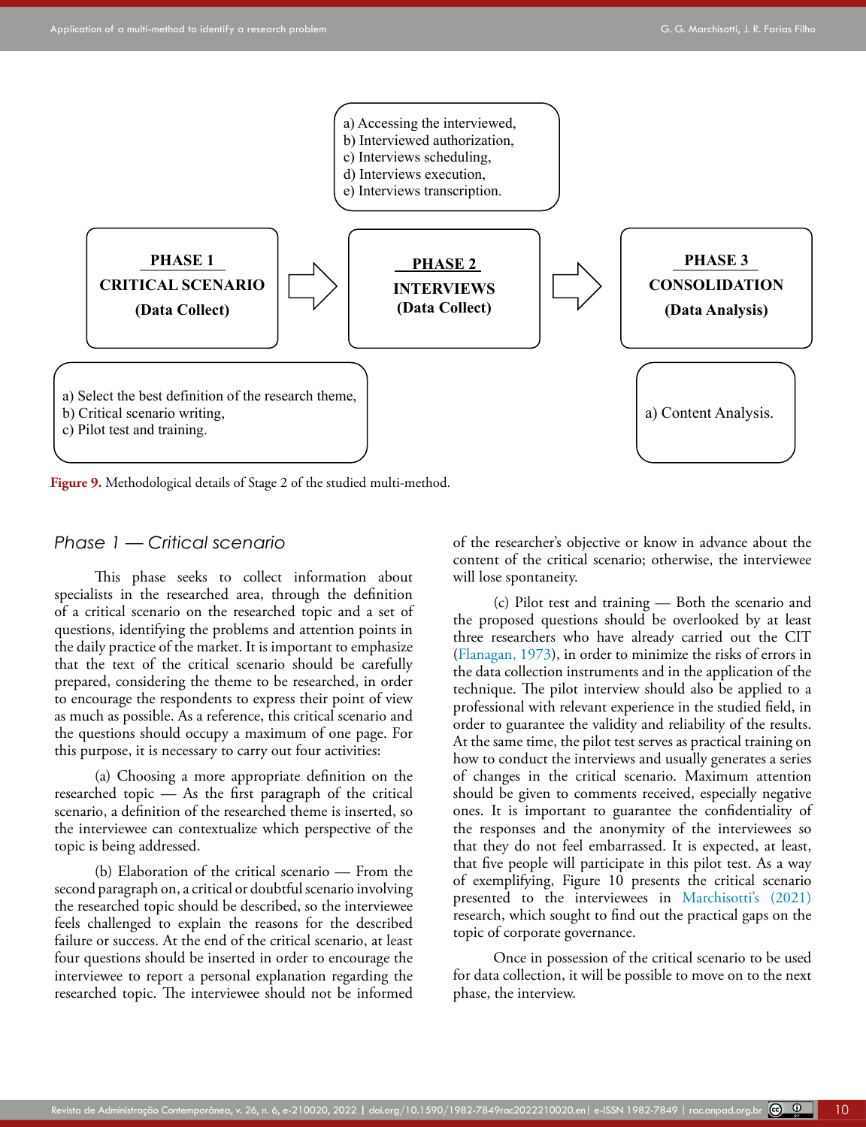

**Figure 9.** Methodological details of Stage 2 of the studied multi-method.

### *Phase 1 — Critical scenario*

This phase seeks to collect information about specialists in the researched area, through the definition of a critical scenario on the researched topic and a set of questions, identifying the problems and attention points in the daily practice of the market. It is important to emphasize that the text of the critical scenario should be carefully prepared, considering the theme to be researched, in order to encourage the respondents to express their point of view as much as possible. As a reference, this critical scenario and the questions should occupy a maximum of one page. For this purpose, it is necessary to carry out four activities:

(a) Choosing a more appropriate definition on the researched topic — As the first paragraph of the critical scenario, a definition of the researched theme is inserted, so the interviewee can contextualize which perspective of the topic is being addressed.

(b) Elaboration of the critical scenario — From the second paragraph on, a critical or doubtful scenario involving the researched topic should be described, so the interviewee feels challenged to explain the reasons for the described failure or success. At the end of the critical scenario, at least four questions should be inserted in order to encourage the interviewee to report a personal explanation regarding the researched topic. The interviewee should not be informed of the researcher's objective or know in advance about the content of the critical scenario; otherwise, the interviewee will lose spontaneity.

(c) Pilot test and training — Both the scenario and the proposed questions should be overlooked by at least three researchers who have already carried out the CIT [\(Flanagan, 1973](#page-14-11)), in order to minimize the risks of errors in the data collection instruments and in the application of the technique. The pilot interview should also be applied to a professional with relevant experience in the studied field, in order to guarantee the validity and reliability of the results. At the same time, the pilot test serves as practical training on how to conduct the interviews and usually generates a series of changes in the critical scenario. Maximum attention should be given to comments received, especially negative ones. It is important to guarantee the confidentiality of the responses and the anonymity of the interviewees so that they do not feel embarrassed. It is expected, at least, that five people will participate in this pilot test. As a way of exemplifying, Figure 10 presents the critical scenario presented to the interviewees in Marchisotti's (2021) research, which sought to find out the practical gaps on the topic of corporate governance.

Once in possession of the critical scenario to be used for data collection, it will be possible to move on to the next phase, the interview.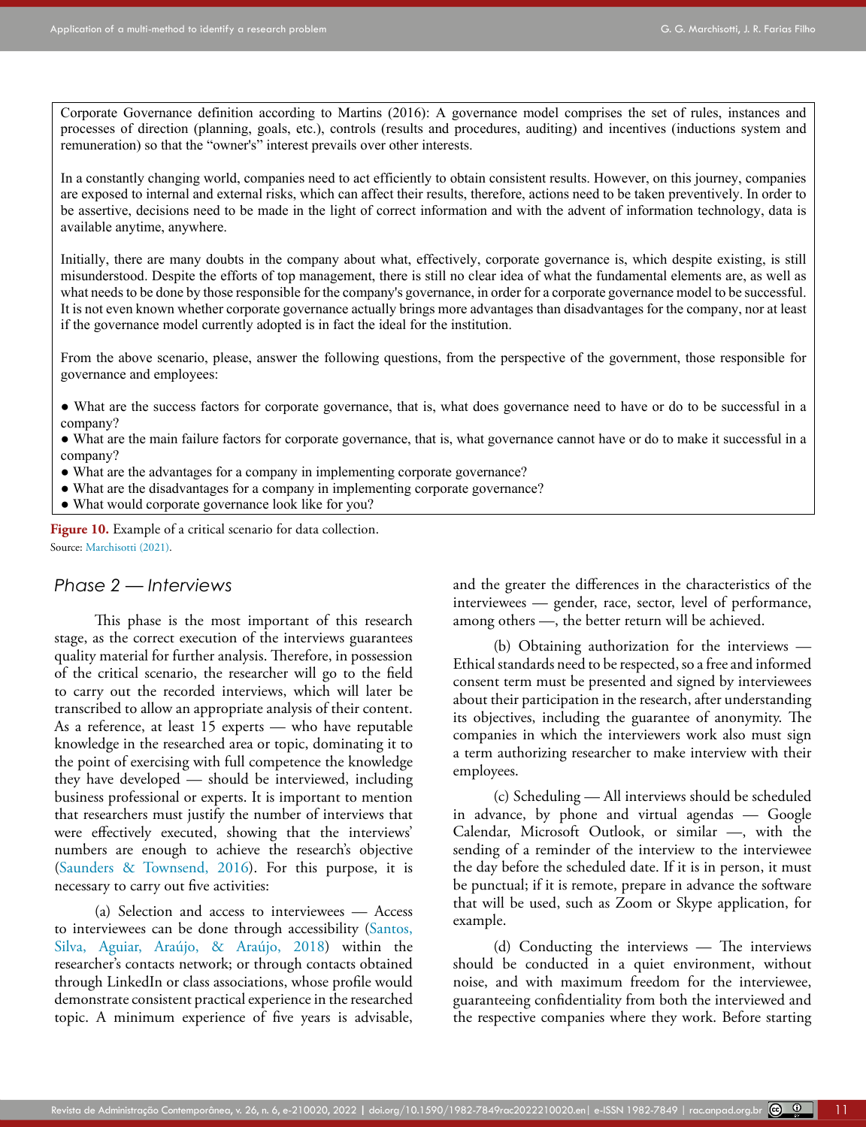Corporate Governance definition according to Martins (2016): A governance model comprises the set of rules, instances and processes of direction (planning, goals, etc.), controls (results and procedures, auditing) and incentives (inductions system and remuneration) so that the "owner's" interest prevails over other interests.

In a constantly changing world, companies need to act efficiently to obtain consistent results. However, on this journey, companies are exposed to internal and external risks, which can affect their results, therefore, actions need to be taken preventively. In order to be assertive, decisions need to be made in the light of correct information and with the advent of information technology, data is available anytime, anywhere.

Initially, there are many doubts in the company about what, effectively, corporate governance is, which despite existing, is still misunderstood. Despite the efforts of top management, there is still no clear idea of what the fundamental elements are, as well as what needs to be done by those responsible for the company's governance, in order for a corporate governance model to be successful. It is not even known whether corporate governance actually brings more advantages than disadvantages for the company, nor at least if the governance model currently adopted is in fact the ideal for the institution.

From the above scenario, please, answer the following questions, from the perspective of the government, those responsible for governance and employees:

- What are the success factors for corporate governance, that is, what does governance need to have or do to be successful in a company?
- What are the main failure factors for corporate governance, that is, what governance cannot have or do to make it successful in a company?
- What are the advantages for a company in implementing corporate governance?
- What are the disadvantages for a company in implementing corporate governance?
- What would corporate governance look like for you?

**Figure 10.** Example of a critical scenario for data collection. Source: [Marchisotti \(2021\)](#page-14-9).

### *Phase 2 — Interviews*

This phase is the most important of this research stage, as the correct execution of the interviews guarantees quality material for further analysis. Therefore, in possession of the critical scenario, the researcher will go to the field to carry out the recorded interviews, which will later be transcribed to allow an appropriate analysis of their content. As a reference, at least 15 experts — who have reputable knowledge in the researched area or topic, dominating it to the point of exercising with full competence the knowledge they have developed — should be interviewed, including business professional or experts. It is important to mention that researchers must justify the number of interviews that were effectively executed, showing that the interviews' numbers are enough to achieve the research's objective ([Saunders & Townsend, 2016\)](#page-15-5). For this purpose, it is necessary to carry out five activities:

(a) Selection and access to interviewees — Access to interviewees can be done through accessibility (Santos, Silva, Aguiar, Araújo, & Araújo, 2018) within the researcher's contacts network; or through contacts obtained through LinkedIn or class associations, whose profile would demonstrate consistent practical experience in the researched topic. A minimum experience of five years is advisable, and the greater the differences in the characteristics of the interviewees — gender, race, sector, level of performance, among others —, the better return will be achieved.

(b) Obtaining authorization for the interviews — Ethical standards need to be respected, so a free and informed consent term must be presented and signed by interviewees about their participation in the research, after understanding its objectives, including the guarantee of anonymity. The companies in which the interviewers work also must sign a term authorizing researcher to make interview with their employees.

(c) Scheduling — All interviews should be scheduled in advance, by phone and virtual agendas — Google Calendar, Microsoft Outlook, or similar —, with the sending of a reminder of the interview to the interviewee the day before the scheduled date. If it is in person, it must be punctual; if it is remote, prepare in advance the software that will be used, such as Zoom or Skype application, for example.

(d) Conducting the interviews — The interviews should be conducted in a quiet environment, without noise, and with maximum freedom for the interviewee, guaranteeing confidentiality from both the interviewed and the respective companies where they work. Before starting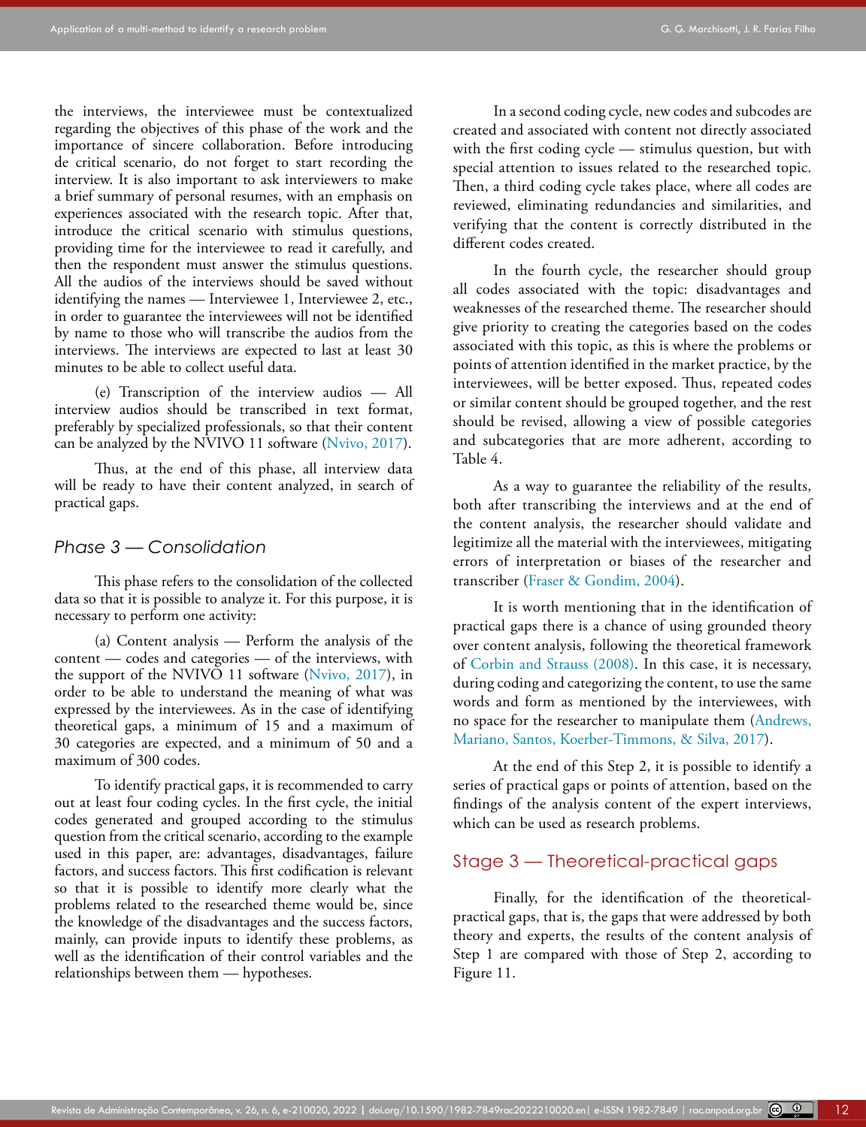the interviews, the interviewee must be contextualized regarding the objectives of this phase of the work and the importance of sincere collaboration. Before introducing de critical scenario, do not forget to start recording the interview. It is also important to ask interviewers to make a brief summary of personal resumes, with an emphasis on experiences associated with the research topic. After that, introduce the critical scenario with stimulus questions, providing time for the interviewee to read it carefully, and then the respondent must answer the stimulus questions. All the audios of the interviews should be saved without identifying the names — Interviewee 1, Interviewee 2, etc., in order to guarantee the interviewees will not be identified by name to those who will transcribe the audios from the interviews. The interviews are expected to last at least 30 minutes to be able to collect useful data.

(e) Transcription of the interview audios — All interview audios should be transcribed in text format, preferably by specialized professionals, so that their content can be analyzed by the NVIVO 11 software ([Nvivo, 2017\)](#page-14-18).

Thus, at the end of this phase, all interview data will be ready to have their content analyzed, in search of practical gaps.

### *Phase 3 — Consolidation*

This phase refers to the consolidation of the collected data so that it is possible to analyze it. For this purpose, it is necessary to perform one activity:

(a) Content analysis — Perform the analysis of the content — codes and categories — of the interviews, with the support of the NVIVO 11 software [\(Nvivo, 2017](#page-14-18)), in order to be able to understand the meaning of what was expressed by the interviewees. As in the case of identifying theoretical gaps, a minimum of 15 and a maximum of 30 categories are expected, and a minimum of 50 and a maximum of 300 codes.

To identify practical gaps, it is recommended to carry out at least four coding cycles. In the first cycle, the initial codes generated and grouped according to the stimulus question from the critical scenario, according to the example used in this paper, are: advantages, disadvantages, failure factors, and success factors. This first codification is relevant so that it is possible to identify more clearly what the problems related to the researched theme would be, since the knowledge of the disadvantages and the success factors, mainly, can provide inputs to identify these problems, as well as the identification of their control variables and the relationships between them — hypotheses.

In a second coding cycle, new codes and subcodes are created and associated with content not directly associated with the first coding cycle — stimulus question, but with special attention to issues related to the researched topic. Then, a third coding cycle takes place, where all codes are reviewed, eliminating redundancies and similarities, and verifying that the content is correctly distributed in the different codes created.

In the fourth cycle, the researcher should group all codes associated with the topic: disadvantages and weaknesses of the researched theme. The researcher should give priority to creating the categories based on the codes associated with this topic, as this is where the problems or points of attention identified in the market practice, by the interviewees, will be better exposed. Thus, repeated codes or similar content should be grouped together, and the rest should be revised, allowing a view of possible categories and subcategories that are more adherent, according to Table 4.

As a way to guarantee the reliability of the results, both after transcribing the interviews and at the end of the content analysis, the researcher should validate and legitimize all the material with the interviewees, mitigating errors of interpretation or biases of the researcher and transcriber ([Fraser & Gondim, 2004](#page-14-21)).

It is worth mentioning that in the identification of practical gaps there is a chance of using grounded theory over content analysis, following the theoretical framework of [Corbin and Strauss \(2008\).](#page-14-22) In this case, it is necessary, during coding and categorizing the content, to use the same words and form as mentioned by the interviewees, with no space for the researcher to manipulate them [\(Andrews,](#page-13-3) [Mariano, Santos, Koerber-Timmons, & Silva, 2017\)](#page-13-3).

At the end of this Step 2, it is possible to identify a series of practical gaps or points of attention, based on the findings of the analysis content of the expert interviews, which can be used as research problems.

### Stage 3 — Theoretical-practical gaps

Finally, for the identification of the theoreticalpractical gaps, that is, the gaps that were addressed by both theory and experts, the results of the content analysis of Step 1 are compared with those of Step 2, according to Figure 11.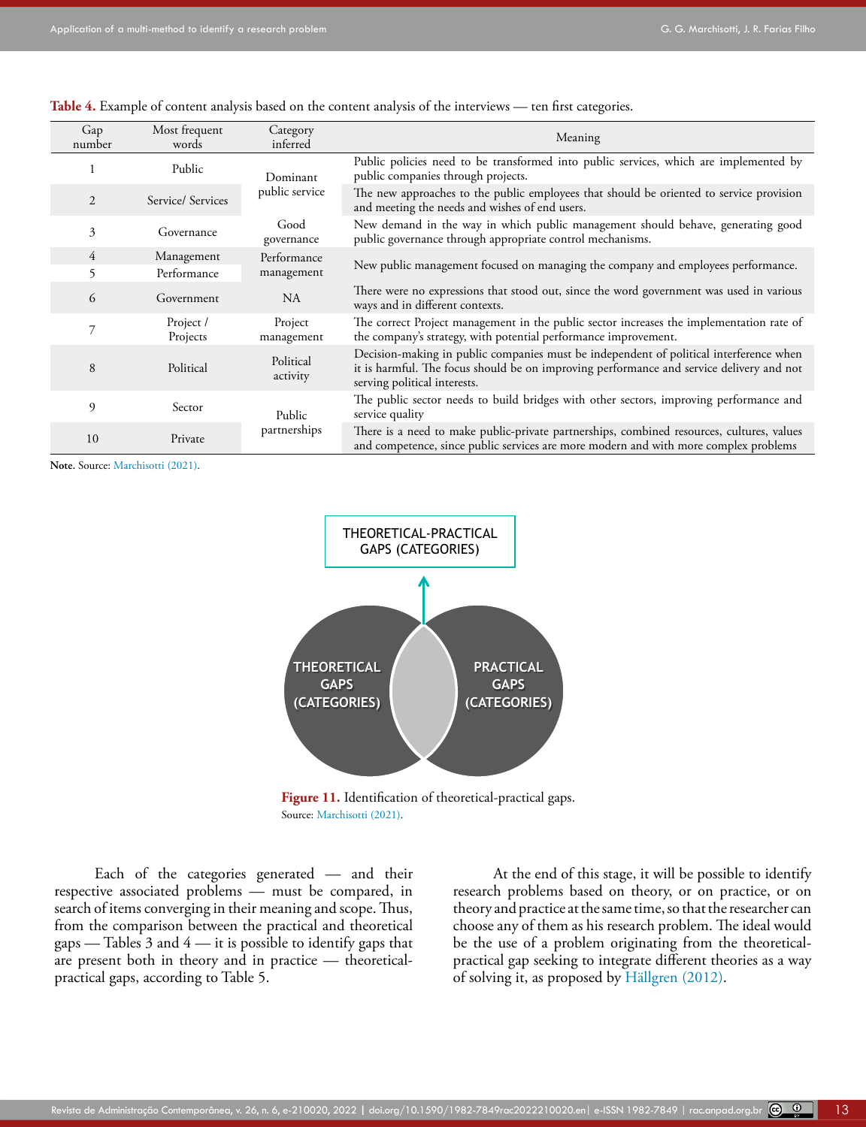|  | Table 4. Example of content analysis based on the content analysis of the interviews — ten first categories. |  |  |  |  |
|--|--------------------------------------------------------------------------------------------------------------|--|--|--|--|
|  |                                                                                                              |  |  |  |  |
|  |                                                                                                              |  |  |  |  |
|  |                                                                                                              |  |  |  |  |

| Gap<br>number  | Most frequent<br>words | Category<br>inferred  | Meaning                                                                                                                                                                                                            |  |  |  |  |  |
|----------------|------------------------|-----------------------|--------------------------------------------------------------------------------------------------------------------------------------------------------------------------------------------------------------------|--|--|--|--|--|
|                | Public                 | Dominant              | Public policies need to be transformed into public services, which are implemented by<br>public companies through projects.                                                                                        |  |  |  |  |  |
| 2              | Service/ Services      | public service        | The new approaches to the public employees that should be oriented to service provision<br>and meeting the needs and wishes of end users.                                                                          |  |  |  |  |  |
| 3              | Governance             | Good<br>governance    | New demand in the way in which public management should behave, generating good<br>public governance through appropriate control mechanisms.                                                                       |  |  |  |  |  |
| $\overline{4}$ | Management             | Performance           |                                                                                                                                                                                                                    |  |  |  |  |  |
| 5              | Performance            | management            | New public management focused on managing the company and employees performance.                                                                                                                                   |  |  |  |  |  |
| 6              | Government             | <b>NA</b>             | There were no expressions that stood out, since the word government was used in various<br>ways and in different contexts.                                                                                         |  |  |  |  |  |
|                | Project /<br>Projects  | Project<br>management | The correct Project management in the public sector increases the implementation rate of<br>the company's strategy, with potential performance improvement.                                                        |  |  |  |  |  |
| 8              | Political              | Political<br>activity | Decision-making in public companies must be independent of political interference when<br>it is harmful. The focus should be on improving performance and service delivery and not<br>serving political interests. |  |  |  |  |  |
| 9              | Sector                 | Public                | The public sector needs to build bridges with other sectors, improving performance and<br>service quality                                                                                                          |  |  |  |  |  |
| 10             | Private                | partnerships          | There is a need to make public-private partnerships, combined resources, cultures, values<br>and competence, since public services are more modern and with more complex problems                                  |  |  |  |  |  |

**Note.** Source: [Marchisotti \(2021\).](#page-14-9)



**Figure 11.** Identification of theoretical-practical gaps. Source: [Marchisotti \(2021\).](#page-14-9)

Each of the categories generated — and their respective associated problems — must be compared, in search of items converging in their meaning and scope. Thus, from the comparison between the practical and theoretical gaps — Tables  $3$  and  $4$  — it is possible to identify gaps that are present both in theory and in practice — theoreticalpractical gaps, according to Table 5.

At the end of this stage, it will be possible to identify research problems based on theory, or on practice, or on theory and practice at the same time, so that the researcher can choose any of them as his research problem. The ideal would be the use of a problem originating from the theoreticalpractical gap seeking to integrate different theories as a way of solving it, as proposed by Hällgren (2012).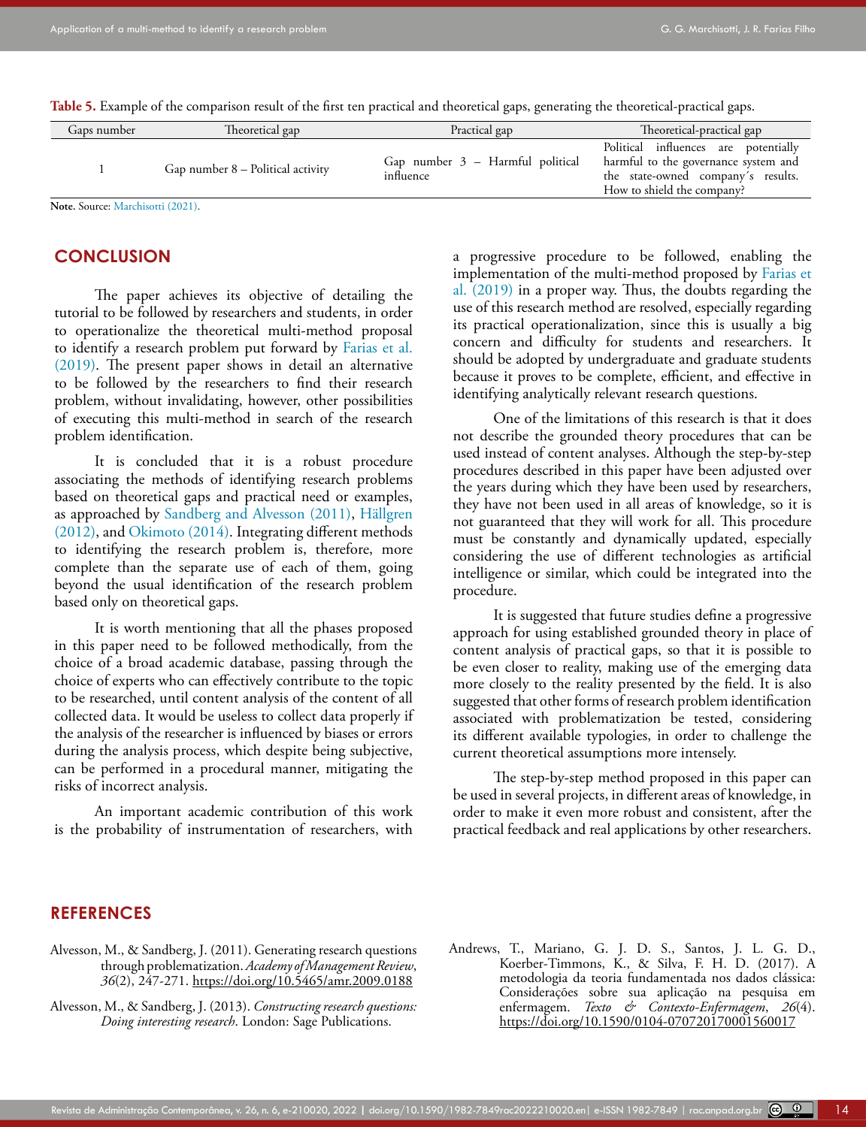| Gaps number | Theoretical gap                     | Practical gap                                   | Theoretical-practical gap                                                                                                                        |
|-------------|-------------------------------------|-------------------------------------------------|--------------------------------------------------------------------------------------------------------------------------------------------------|
|             | Gap number $8$ – Political activity | Gap number $3$ – Harmful political<br>influence | Political influences are potentially<br>harmful to the governance system and<br>the state-owned company's results.<br>How to shield the company? |
|             |                                     |                                                 |                                                                                                                                                  |

**Table 5.** Example of the comparison result of the first ten practical and theoretical gaps, generating the theoretical-practical gaps.

**Note.** Source: [Marchisotti \(2021\).](#page-14-9)

### **CONCLUSION**

The paper achieves its objective of detailing the tutorial to be followed by researchers and students, in order to operationalize the theoretical multi-method proposal to identify a research problem put forward by [Farias et al.](#page-14-2)  [\(2019\)](#page-14-2). The present paper shows in detail an alternative to be followed by the researchers to find their research problem, without invalidating, however, other possibilities of executing this multi-method in search of the research problem identification.

It is concluded that it is a robust procedure associating the methods of identifying research problems based on theoretical gaps and practical need or examples, as approached by [Sandberg and Alvesson \(2011\)](#page-15-6), Hällgren (2012), and [Okimoto \(2014\)](#page-14-23). Integrating different methods to identifying the research problem is, therefore, more complete than the separate use of each of them, going beyond the usual identification of the research problem based only on theoretical gaps.

It is worth mentioning that all the phases proposed in this paper need to be followed methodically, from the choice of a broad academic database, passing through the choice of experts who can effectively contribute to the topic to be researched, until content analysis of the content of all collected data. It would be useless to collect data properly if the analysis of the researcher is influenced by biases or errors during the analysis process, which despite being subjective, can be performed in a procedural manner, mitigating the risks of incorrect analysis.

An important academic contribution of this work is the probability of instrumentation of researchers, with a progressive procedure to be followed, enabling the implementation of the multi-method proposed by [Farias et](#page-14-2) [al. \(2019\)](#page-14-2) in a proper way. Thus, the doubts regarding the use of this research method are resolved, especially regarding its practical operationalization, since this is usually a big concern and difficulty for students and researchers. It should be adopted by undergraduate and graduate students because it proves to be complete, efficient, and effective in identifying analytically relevant research questions.

One of the limitations of this research is that it does not describe the grounded theory procedures that can be used instead of content analyses. Although the step-by-step procedures described in this paper have been adjusted over the years during which they have been used by researchers, they have not been used in all areas of knowledge, so it is not guaranteed that they will work for all. This procedure must be constantly and dynamically updated, especially considering the use of different technologies as artificial intelligence or similar, which could be integrated into the procedure.

It is suggested that future studies define a progressive approach for using established grounded theory in place of content analysis of practical gaps, so that it is possible to be even closer to reality, making use of the emerging data more closely to the reality presented by the field. It is also suggested that other forms of research problem identification associated with problematization be tested, considering its different available typologies, in order to challenge the current theoretical assumptions more intensely.

The step-by-step method proposed in this paper can be used in several projects, in different areas of knowledge, in order to make it even more robust and consistent, after the practical feedback and real applications by other researchers.

### **REFERENCES**

- <span id="page-13-1"></span><span id="page-13-0"></span>Alvesson, M., & Sandberg, J. (2011). Generating research questions through problematization. *Academy of Management Review*, *36*(2), 247-271.<https://doi.org/10.5465/amr.2009.0188>
- <span id="page-13-2"></span>Alvesson, M., & Sandberg, J. (2013). *Constructing research questions: Doing interesting research*. London: Sage Publications.
- <span id="page-13-3"></span>Andrews, T., Mariano, G. J. D. S., Santos, J. L. G. D., Koerber-Timmons, K., & Silva, F. H. D. (2017). A metodologia da teoria fundamentada nos dados clássica: Considerações sobre sua aplicação na pesquisa em enfermagem. *Texto & Contexto-Enfermagem*, *26*(4). <https://doi.org/10.1590/0104-070720170001560017>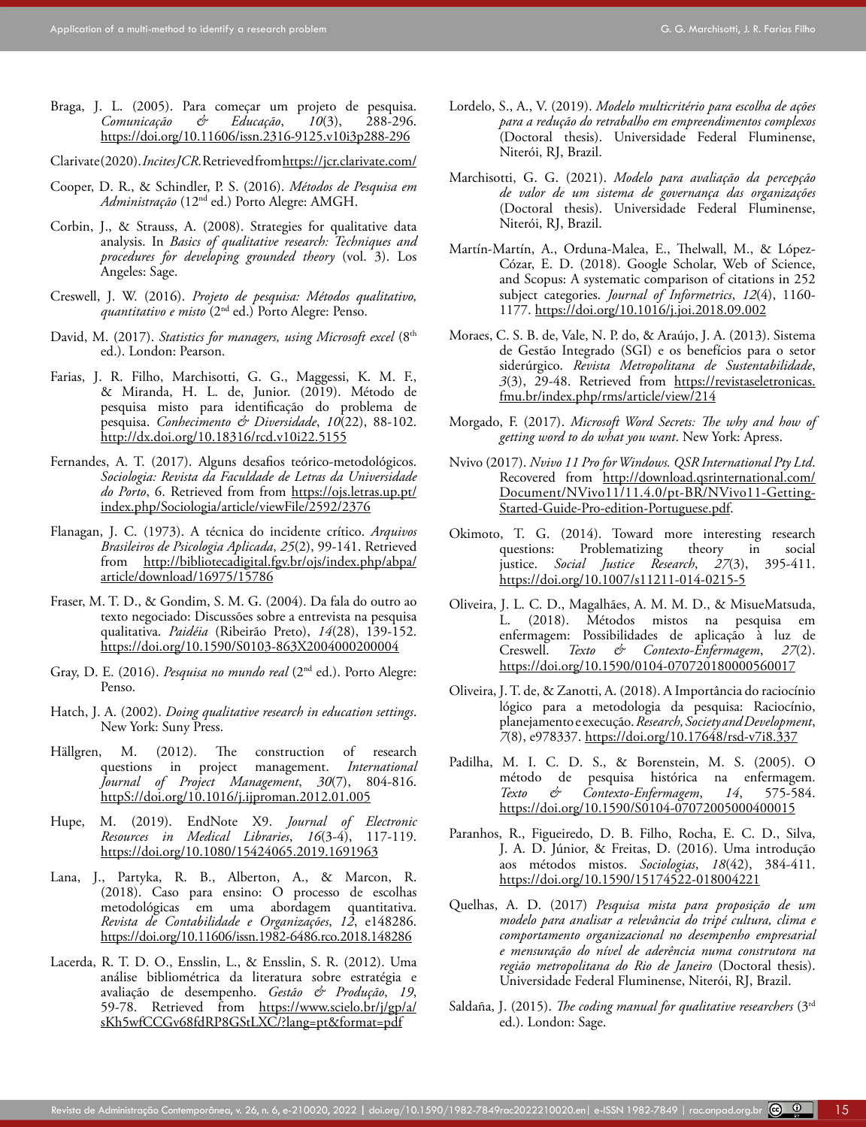- <span id="page-14-1"></span>Braga, J. L. (2005). Para começar um projeto de pesquisa.<br>Comunicação & Educação, 10(3), 288-296.  $Comunicação$ <https://doi.org/10.11606/issn.2316-9125.v10i3p288-296>
- <span id="page-14-16"></span>Clarivate (2020). *Incites JCR*. Retrieved from [https://jcr.clarivate.com/](https://jcr.clarivate.com/ )
- <span id="page-14-5"></span>Cooper, D. R., & Schindler, P. S. (2016). *Métodos de Pesquisa em Administração* (12nd ed.) Porto Alegre: AMGH.
- <span id="page-14-22"></span>Corbin, J., & Strauss, A. (2008). Strategies for qualitative data analysis. In *Basics of qualitative research: Techniques and procedures for developing grounded theory* (vol. 3). Los Angeles: Sage.
- <span id="page-14-8"></span>Creswell, J. W. (2016). *Projeto de pesquisa: Métodos qualitativo, quantitativo e misto* (2nd ed.) Porto Alegre: Penso.
- <span id="page-14-15"></span>David, M. (2017). *Statistics for managers, using Microsoft excel* (8<sup>th</sup> ed.). London: Pearson.
- <span id="page-14-2"></span>Farias, J. R. Filho, Marchisotti, G. G., Maggessi, K. M. F., & Miranda, H. L. de, Junior. (2019). Método de pesquisa misto para identificação do problema de pesquisa. *Conhecimento & Diversidade*, *10*(22), 88-102. <http://dx.doi.org/10.18316/rcd.v10i22.5155>
- <span id="page-14-0"></span>Fernandes, A. T. (2017). Alguns desafios teórico-metodológicos. *Sociologia: Revista da Faculdade de Letras da Universidade do Porto*, 6. Retrieved from from [https://ojs.letras.up.pt/](https://ojs.letras.up.pt/index.php/Sociologia/article/viewFile/2592/2376) [index.php/Sociologia/article/viewFile/2592/2376](https://ojs.letras.up.pt/index.php/Sociologia/article/viewFile/2592/2376)
- <span id="page-14-11"></span>Flanagan, J. C. (1973). A técnica do incidente crítico. *Arquivos Brasileiros de Psicologia Aplicada*, *25*(2), 99-141. Retrieved from [http://bibliotecadigital.fgv.br/ojs/index.php/abpa/](http://bibliotecadigital.fgv.br/ojs/index.php/abpa/article/download/16975/15786) [article/download/16975/15786](http://bibliotecadigital.fgv.br/ojs/index.php/abpa/article/download/16975/15786)
- <span id="page-14-21"></span>Fraser, M. T. D., & Gondim, S. M. G. (2004). Da fala do outro ao texto negociado: Discussões sobre a entrevista na pesquisa qualitativa. *Paidéia* (Ribeirão Preto), *14*(28), 139-152. <https://doi.org/10.1590/S0103-863X2004000200004>
- <span id="page-14-7"></span>Gray, D. E. (2016). *Pesquisa no mundo real* (2<sup>nd</sup> ed.). Porto Alegre: Penso.
- <span id="page-14-19"></span>Hatch, J. A. (2002). *Doing qualitative research in education settings*. New York: Suny Press.
- Hällgren, M. (2012). The construction of research questions in project management. *International* questions in project management. *Journal of Project Management*, *30*(7), 804-816. [httpS://doi.org/10.1016/j.ijproman.2012.01.005](http://dx.doi.org/10.1016/j.ijproman.2012.01.005)
- <span id="page-14-14"></span>Hupe, M. (2019). EndNote X9. *Journal of Electronic Resources in Medical Libraries*, *16*(3-4), 117-119. [https://doi.org/10.1080/15424065.2019.1691963](https://doi.org/10.1080/15424065.2019.1691963 )
- <span id="page-14-6"></span>Lana, J., Partyka, R. B., Alberton, A., & Marcon, R. (2018). Caso para ensino: O processo de escolhas metodológicas em uma abordagem quantitativa. *Revista de Contabilidade e Organizações*, *12*, e148286. <https://doi.org/10.11606/issn.1982-6486.rco.2018.148286>
- <span id="page-14-12"></span>Lacerda, R. T. D. O., Ensslin, L., & Ensslin, S. R. (2012). Uma análise bibliométrica da literatura sobre estratégia e avaliação de desempenho. *Gestão & Produção*, *19*, 59-78. Retrieved from [https://www.scielo.br/j/gp/a/](https://www.scielo.br/j/gp/a/sKh5wfCCGv68fdRP8GStLXC/?lang=pt&format=pdf) [sKh5wfCCGv68fdRP8GStLXC/?lang=pt&format=pdf](https://www.scielo.br/j/gp/a/sKh5wfCCGv68fdRP8GStLXC/?lang=pt&format=pdf)
- <span id="page-14-10"></span>Lordelo, S., A., V. (2019). *Modelo multicritério para escolha de ações para a redução do retrabalho em empreendimentos complexos* (Doctoral thesis). Universidade Federal Fluminense, Niterói, RJ, Brazil.
- <span id="page-14-9"></span>Marchisotti, G. G. (2021). *Modelo para avaliação da percepção de valor de um sistema de governança das organizações*  (Doctoral thesis). Universidade Federal Fluminense, Niterói, RJ, Brazil.
- Martín-Martín, A., Orduna-Malea, E., Thelwall, M., & López-Cózar, E. D. (2018). Google Scholar, Web of Science, and Scopus: A systematic comparison of citations in 252 subject categories. *Journal of Informetrics*, *12*(4), 1160- 1177.<https://doi.org/10.1016/j.joi.2018.09.002>
- Moraes, C. S. B. de, Vale, N. P. do, & Araújo, J. A. (2013). Sistema de Gestão Integrado (SGI) e os benefícios para o setor siderúrgico. *Revista Metropolitana de Sustentabilidade*, *3*(3), 29-48. Retrieved from [https://revistaseletronicas.](https://revistaseletronicas.fmu.br/index.php/rms/article/view/214) [fmu.br/index.php/rms/article/view/214](https://revistaseletronicas.fmu.br/index.php/rms/article/view/214)
- <span id="page-14-13"></span>Morgado, F. (2017). *Microsoft Word Secrets: The why and how of getting word to do what you want*. New York: Apress.
- <span id="page-14-18"></span>Nvivo (2017). *Nvivo 11 Pro for Windows. QSR International Pty Ltd*. Recovered from [http://download.qsrinternational.com/](http://download.qsrinternational.com/Document/NVivo11/11.4.0/pt-BR/NVivo11-Getting-Started-Guide-Pro-edition-Portuguese.pdf) [Document/NVivo11/11.4.0/pt-BR/NVivo11-Getting-](http://download.qsrinternational.com/Document/NVivo11/11.4.0/pt-BR/NVivo11-Getting-Started-Guide-Pro-edition-Portuguese.pdf)[Started-Guide-Pro-edition-Portuguese.pdf.](http://download.qsrinternational.com/Document/NVivo11/11.4.0/pt-BR/NVivo11-Getting-Started-Guide-Pro-edition-Portuguese.pdf)
- <span id="page-14-23"></span>Okimoto, T. G. (2014). Toward more interesting research questions: Problematizing theory in social Problematizing theory in social justice. *Social Justice Research*, *27*(3), 395-411. [https://doi.org/10.1007/s11211-014-0215-5](https://doi.org/10.1007/s11211-014-0215-5 )
- Oliveira, J. L. C. D., Magalhães, A. M. M. D., & MisueMatsuda, L. (2018). Métodos mistos na pesquisa em enfermagem: Possibilidades de aplicação à luz de Creswell. *Texto & Contexto-Enfermagem*, *27*(2). <https://doi.org/10.1590/0104-070720180000560017>
- <span id="page-14-3"></span>Oliveira, J. T. de, & Zanotti, A. (2018). A Importância do raciocínio lógico para a metodologia da pesquisa: Raciocínio, planejamento e execução. *Research, Society and Development*, *7*(8), e978337. [https://doi.org/10.17648/rsd-v7i8.337](https://doi.org/10.17648/rsd-v7i8.337 )
- <span id="page-14-20"></span>Padilha, M. I. C. D. S., & Borenstein, M. S. (2005). O método de pesquisa histórica na enfermagem.<br>Texto & Contexto-Enfermagem, 14, 575-584. *Texto & Contexto-Enfermagem*, *14*, 575-584. [https://doi.org/10.1590/S0104-07072005000400015](https://doi.org/10.1590/S0104-07072005000400015 )
- <span id="page-14-4"></span>Paranhos, R., Figueiredo, D. B. Filho, Rocha, E. C. D., Silva, J. A. D. Júnior, & Freitas, D. (2016). Uma introdução aos métodos mistos. *Sociologias*, *18*(42), 384-411. <https://doi.org/10.1590/15174522-018004221>
- <span id="page-14-17"></span>Quelhas, A. D. (2017) *Pesquisa mista para proposição de um modelo para analisar a relevância do tripé cultura, clima e comportamento organizacional no desempenho empresarial e mensuração do nível de aderência numa construtora na região metropolitana do Rio de Janeiro* (Doctoral thesis). Universidade Federal Fluminense, Niterói, RJ, Brazil.
- Saldaña, J. (2015). *The coding manual for qualitative researchers* (3rd ed.). London: Sage.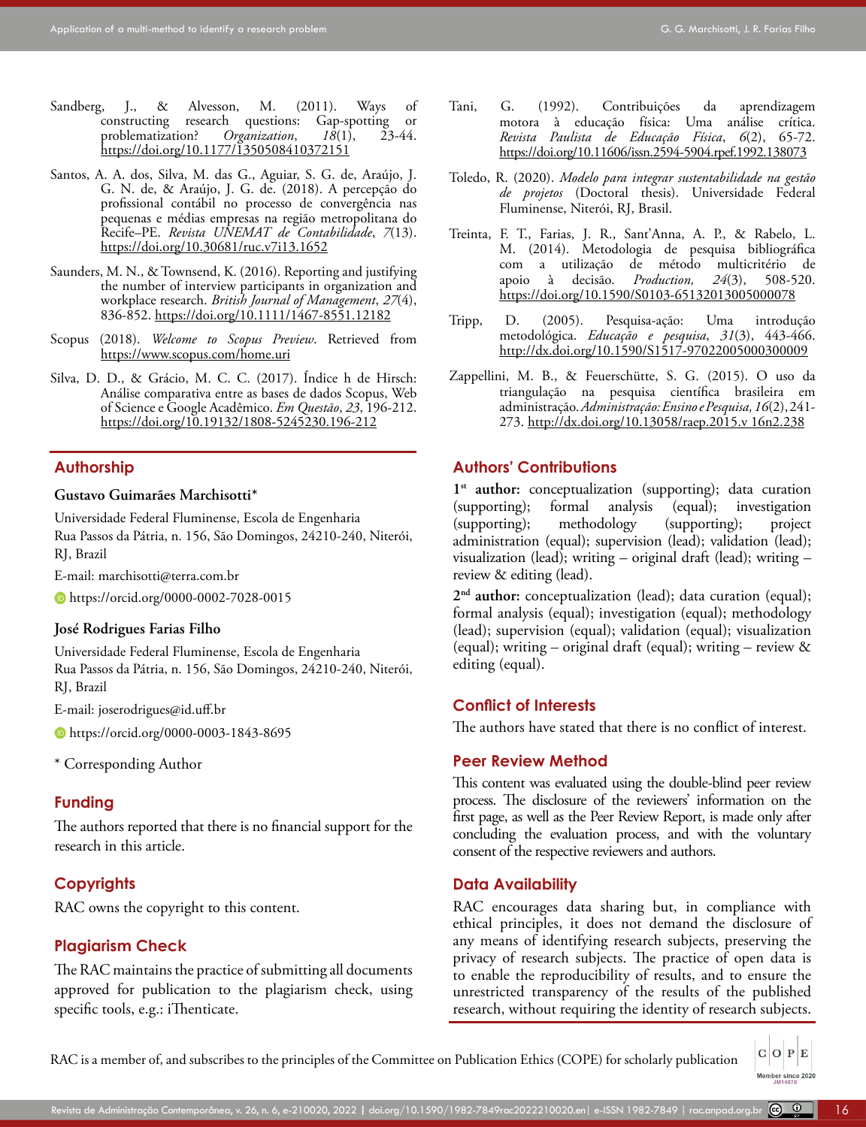- <span id="page-15-6"></span>Sandberg, J., & Alvesson, M. (2011). Ways of constructing research questions: Gap-spotting or constructing research questions: Gap-spotting or<br>problematization? Organization, 18(1), 23-44. problematization? <https://doi.org/10.1177/1350508410372151>
- Santos, A. A. dos, Silva, M. das G., Aguiar, S. G. de, Araújo, J. G. N. de, & Araújo, J. G. de. (2018). A percepção do profissional contábil no processo de convergência nas pequenas e médias empresas na região metropolitana do Recife–PE. *Revista UNEMAT de Contabilidade*, *7*(13). <https://doi.org/10.30681/ruc.v7i13.1652>
- <span id="page-15-5"></span>Saunders, M. N., & Townsend, K. (2016). Reporting and justifying the number of interview participants in organization and workplace research. *British Journal of Management*, *27*(4), 836-852.<https://doi.org/10.1111/1467-8551.12182>
- <span id="page-15-4"></span>Scopus (2018). *Welcome to Scopus Preview*. Retrieved from <https://www.scopus.com/home.uri>
- Silva, D. D., & Grácio, M. C. C. (2017). Índice h de Hirsch: Análise comparativa entre as bases de dados Scopus, Web of Science e Google Acadêmico. *Em Questão*, *23*, 196-212. <https://doi.org/10.19132/1808-5245230.196-212>

#### **Authorship**

#### **Gustavo Guimarães Marchisotti\***

Universidade Federal Fluminense, Escola de Engenharia

Rua Passos da Pátria, n. 156, São Domingos, 24210-240, Niterói, RJ, Brazil

E-mail: marchisotti@terra.com.br

https://orcid.org/0000-0002-7028-0015

#### **José Rodrigues Farias Filho**

Universidade Federal Fluminense, Escola de Engenharia Rua Passos da Pátria, n. 156, São Domingos, 24210-240, Niterói, RJ, Brazil

E-mail: joserodrigues@id.uff.br

https://orcid.org/0000-0003-1843-8695

\* Corresponding Author

#### **Funding**

The authors reported that there is no financial support for the research in this article.

### **Copyrights**

RAC owns the copyright to this content.

#### **Plagiarism Check**

The RAC maintains the practice of submitting all documents approved for publication to the plagiarism check, using specific tools, e.g.: iThenticate.

- <span id="page-15-1"></span>Tani, G. (1992). Contribuições da aprendizagem motora à educação física: Uma análise crítica. *Revista Paulista de Educação Física*, *6*(2), 65-72. <https://doi.org/10.11606/issn.2594-5904.rpef.1992.138073>
- <span id="page-15-2"></span>Toledo, R. (2020). *Modelo para integrar sustentabilidade na gestão de projetos* (Doctoral thesis). Universidade Federal Fluminense, Niterói, RJ, Brasil.
- Treinta, F. T., Farias, J. R., Sant'Anna, A. P., & Rabelo, L. M. (2014). Metodologia de pesquisa bibliográfica com a utilização de método multicritério de apoio à decisão. *Production, 24*(3), 508-520. [https://doi.org/10.1590/S0103-65132013005000078](https://doi.org/10.1590/S0103-65132013005000078 )
- <span id="page-15-3"></span>Tripp, D. (2005). Pesquisa-ação: Uma introdução metodológica. *Educação e pesquisa*, *31*(3), 443-466. <http://dx.doi.org/10.1590/S1517-97022005000300009>
- <span id="page-15-0"></span>Zappellini, M. B., & Feuerschütte, S. G. (2015). O uso da triangulação na pesquisa científica brasileira em administração. *Administração: Ensino e Pesquisa, 16*(2), 241- 273. [http://dx.doi.org/10.13058/raep.2015.v 16n2.238](http://dx.doi.org/10.13058/raep.2015.v 16n2.238 )

### **Authors' Contributions**

1<sup>st</sup> author: conceptualization (supporting); data curation (supporting); formal analysis (equal); investigation (supporting); methodology (supporting); project administration (equal); supervision (lead); validation (lead); visualization (lead); writing – original draft (lead); writing – review & editing (lead).

**2nd author:** conceptualization (lead); data curation (equal); formal analysis (equal); investigation (equal); methodology (lead); supervision (equal); validation (equal); visualization (equal); writing – original draft (equal); writing – review  $\&$ editing (equal).

#### **Conflict of Interests**

The authors have stated that there is no conflict of interest.

### **Peer Review Method**

This content was evaluated using the double-blind peer review process. The disclosure of the reviewers' information on the first page, as well as the Peer Review Report, is made only after concluding the evaluation process, and with the voluntary consent of the respective reviewers and authors.

#### **Data Availability**

RAC encourages data sharing but, in compliance with ethical principles, it does not demand the disclosure of any means of identifying research subjects, preserving the privacy of research subjects. The practice of open data is to enable the reproducibility of results, and to ensure the unrestricted transparency of the results of the published research, without requiring the identity of research subjects.

> $C$  O  $P$  E Member since 2020<br>JM14878

RAC is a member of, and subscribes to the principles of the Committee on Publication Ethics (COPE) for scholarly publication